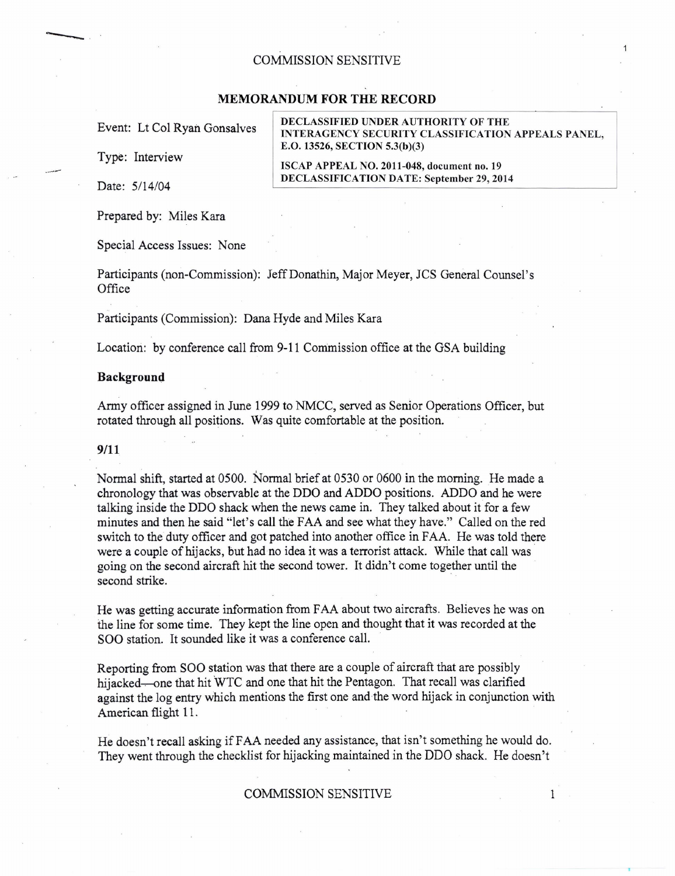## COMMISSION SENSITIVE

# **MEMORANDUM FOR THE RECORD**

Type: Interview

-----·

Prepared by: Miles Kara

Special Access Issues: None

Participants (non-Commission): JeffDonathin, Major Meyer, JCS General Counsel's **Office** 

Participants (Commission): Dana Hyde and Miles Kara

Location: by conference call from 9-11 Commission office at the GSA building

## **Background**

Army officer assigned in June 1999 to NMCC, served as Senior Operations Officer, but rotated through all positions. Was quite comfortable at the position.

#### 9/11

Normal shift, started at 0500. Normal brief at 0530 or 0600 in the morning. He made a chronology that was observable at the DDO and ADDO positions. ADDO and he were talking inside the DDO shack when the news came in. They talked about it for a few minutes and then he said "let's call the FAA and see what they have." Called on the red switch to the duty officer and got patched into another office in FAA. He was told there were a couple of hijacks, but had no idea it was a terrorist attack. While that call was going on the second aircraft hit the second tower. It didn't come together until the second strike.

He was getting accurate information from FAA about two aircrafts. Believes he was on the line for some time. They kept the line open and thought that it was recorded at the SOO station. It sounded like it was a conference call.

Reporting from SOO station was that there are a couple of aircraft that are possibly hijacked—one that hit WTC and one that hit the Pentagon. That recall was clarified against the log entry which mentions the first one and the word hijack in conjunction with American flight 11.

He doesn't recall asking if FAA needed any assistance, that isn't something he would do. They went through the checklist for hijacking maintained in the DDO shack. He doesn't

# COMMISSION SENSITIVE

Event: Lt Col Ryan Gonsalves | DECLASSIFIED UNDER AUTHORITY OF THE<br>INTERAGENCY SECURITY CLASSIFICATION APPEALS PANEL, E.O. 13526, SECTION 5.3(b)(3)

ISCAP APPEAL NO. 2011-048, document no. 19 DECLASSIFICATION DATE: September 29, 2014

1